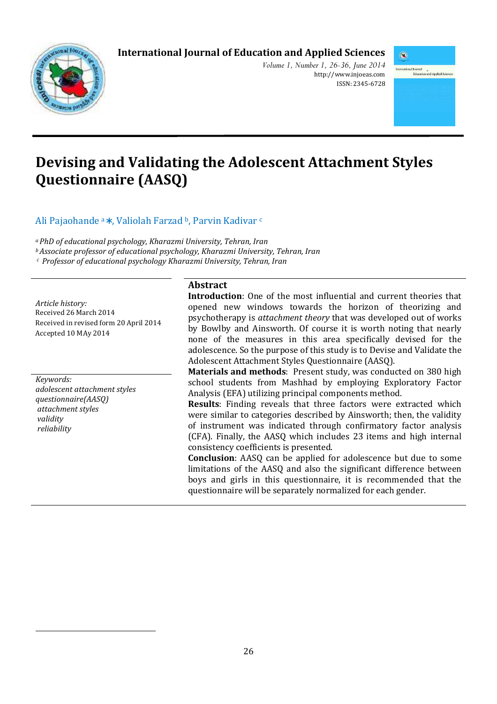# **International Journal of Education and Applied Sciences**



*Volume 1, Number 1, 26-36, June 2014*  http://www.injoeas.com ISSN: 2345-6728



# **Devising and Validating the Adolescent Attachment Styles Questionnaire (AASQ)**

Ali Pajaohande a∗ , Valiolah Farzad b, Parvin Kadivar <sup>c</sup>

*<sup>a</sup>PhD of educational psychology, Kharazmi University, Tehran, Iran* 

*<sup>b</sup>Associate professor of educational psychology, Kharazmi University, Tehran, Iran* 

*<sup>c</sup>Professor of educational psychology Kharazmi University, Tehran, Iran* 

**Abstract**

*Article history:*  Received 26 March 2014 Received in revised form 20 April 2014 Accepted 10 MAy 2014

*Keywords: adolescent attachment styles questionnaire(AASQ) attachment styles validity reliability* 

 $\overline{a}$ 

**Introduction**: One of the most influential and current theories that opened new windows towards the horizon of theorizing and psychotherapy is *attachment theory* that was developed out of works by Bowlby and Ainsworth. Of course it is worth noting that nearly none of the measures in this area specifically devised for the adolescence. So the purpose of this study is to Devise and Validate the Adolescent Attachment Styles Questionnaire (AASQ).

**Materials and methods**: Present study, was conducted on 380 high school students from Mashhad by employing Exploratory Factor Analysis (EFA) utilizing principal components method.

**Results**: Finding reveals that three factors were extracted which were similar to categories described by Ainsworth; then, the validity of instrument was indicated through confirmatory factor analysis (CFA). Finally, the AASQ which includes 23 items and high internal consistency coefficients is presented.

**Conclusion**: AASQ can be applied for adolescence but due to some limitations of the AASQ and also the significant difference between boys and girls in this questionnaire, it is recommended that the questionnaire will be separately normalized for each gender.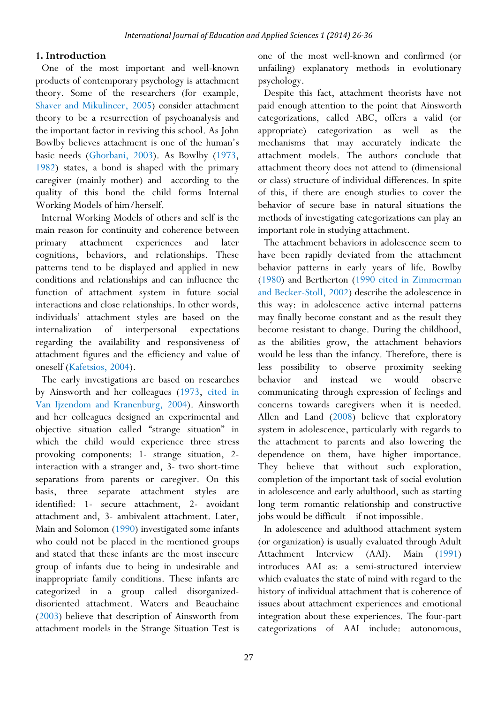#### **1. Introduction**

One of the most important and well-known products of contemporary psychology is attachment theory. Some of the researchers (for example, Shaver and Mikulincer, 2005) consider attachment theory to be a resurrection of psychoanalysis and the important factor in reviving this school. As John Bowlby believes attachment is one of the human's basic needs (Ghorbani, 2003). As Bowlby (1973, 1982) states, a bond is shaped with the primary caregiver (mainly mother) and according to the quality of this bond the child forms Internal Working Models of him/herself.

Internal Working Models of others and self is the main reason for continuity and coherence between primary attachment experiences and later cognitions, behaviors, and relationships. These patterns tend to be displayed and applied in new conditions and relationships and can influence the function of attachment system in future social interactions and close relationships. In other words, individuals' attachment styles are based on the internalization of interpersonal expectations regarding the availability and responsiveness of attachment figures and the efficiency and value of oneself (Kafetsios, 2004).

The early investigations are based on researches by Ainsworth and her colleagues (1973, cited in Van Ijzendom and Kranenburg, 2004). Ainsworth and her colleagues designed an experimental and objective situation called "strange situation" in which the child would experience three stress provoking components: 1- strange situation, 2 interaction with a stranger and, 3- two short-time separations from parents or caregiver. On this basis, three separate attachment styles are identified: 1- secure attachment, 2- avoidant attachment and, 3- ambivalent attachment. Later, Main and Solomon (1990) investigated some infants who could not be placed in the mentioned groups and stated that these infants are the most insecure group of infants due to being in undesirable and inappropriate family conditions. These infants are categorized in a group called disorganizeddisoriented attachment. Waters and Beauchaine (2003) believe that description of Ainsworth from attachment models in the Strange Situation Test is

one of the most well-known and confirmed (or unfailing) explanatory methods in evolutionary psychology.

Despite this fact, attachment theorists have not paid enough attention to the point that Ainsworth categorizations, called ABC, offers a valid (or appropriate) categorization as well as the mechanisms that may accurately indicate the attachment models. The authors conclude that attachment theory does not attend to (dimensional or class) structure of individual differences. In spite of this, if there are enough studies to cover the behavior of secure base in natural situations the methods of investigating categorizations can play an important role in studying attachment.

The attachment behaviors in adolescence seem to have been rapidly deviated from the attachment behavior patterns in early years of life. Bowlby (1980) and Bertherton (1990 cited in Zimmerman and Becker-Stoll, 2002) describe the adolescence in this way: in adolescence active internal patterns may finally become constant and as the result they become resistant to change. During the childhood, as the abilities grow, the attachment behaviors would be less than the infancy. Therefore, there is less possibility to observe proximity seeking behavior and instead we would observe communicating through expression of feelings and concerns towards caregivers when it is needed. Allen and Land (2008) believe that exploratory system in adolescence, particularly with regards to the attachment to parents and also lowering the dependence on them, have higher importance. They believe that without such exploration, completion of the important task of social evolution in adolescence and early adulthood, such as starting long term romantic relationship and constructive jobs would be difficult – if not impossible.

In adolescence and adulthood attachment system (or organization) is usually evaluated through Adult Attachment Interview (AAI). Main (1991) introduces AAI as: a semi-structured interview which evaluates the state of mind with regard to the history of individual attachment that is coherence of issues about attachment experiences and emotional integration about these experiences. The four-part categorizations of AAI include: autonomous,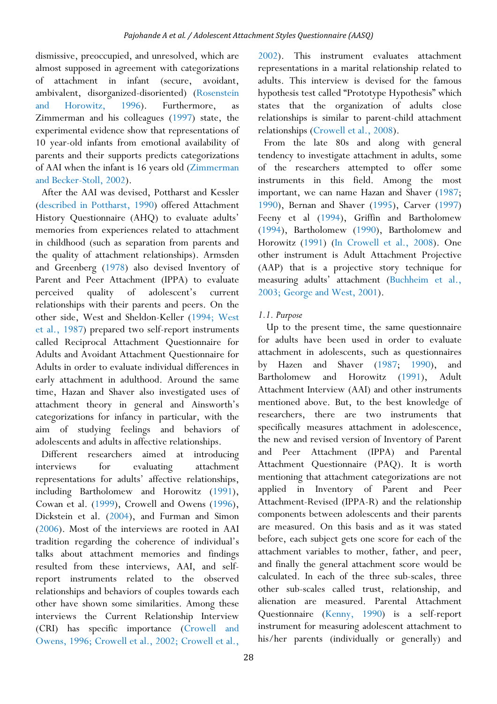dismissive, preoccupied, and unresolved, which are almost supposed in agreement with categorizations of attachment in infant (secure, avoidant, ambivalent, disorganized-disoriented) (Rosenstein and Horowitz, 1996). Furthermore, Zimmerman and his colleagues (1997) state, the experimental evidence show that representations of 10 year-old infants from emotional availability of parents and their supports predicts categorizations of AAI when the infant is 16 years old (Zimmerman and Becker-Stoll, 2002).

After the AAI was devised, Pottharst and Kessler (described in Pottharst, 1990) offered Attachment History Questionnaire (AHQ) to evaluate adults' memories from experiences related to attachment in childhood (such as separation from parents and the quality of attachment relationships). Armsden and Greenberg (1978) also devised Inventory of Parent and Peer Attachment (IPPA) to evaluate perceived quality of adolescent's current relationships with their parents and peers. On the other side, West and Sheldon-Keller (1994; West et al., 1987) prepared two self-report instruments called Reciprocal Attachment Questionnaire for Adults and Avoidant Attachment Questionnaire for Adults in order to evaluate individual differences in early attachment in adulthood. Around the same time, Hazan and Shaver also investigated uses of attachment theory in general and Ainsworth's categorizations for infancy in particular, with the aim of studying feelings and behaviors of adolescents and adults in affective relationships.

Different researchers aimed at introducing interviews for evaluating attachment representations for adults' affective relationships, including Bartholomew and Horowitz (1991), Cowan et al. (1999), Crowell and Owens (1996), Dickstein et al. (2004), and Furman and Simon (2006). Most of the interviews are rooted in AAI tradition regarding the coherence of individual's talks about attachment memories and findings resulted from these interviews, AAI, and selfreport instruments related to the observed relationships and behaviors of couples towards each other have shown some similarities. Among these interviews the Current Relationship Interview (CRI) has specific importance (Crowell and Owens, 1996; Crowell et al., 2002; Crowell et al.,

2002). This instrument evaluates attachment representations in a marital relationship related to adults. This interview is devised for the famous hypothesis test called "Prototype Hypothesis" which states that the organization of adults close relationships is similar to parent-child attachment relationships (Crowell et al., 2008).

From the late 80s and along with general tendency to investigate attachment in adults, some of the researchers attempted to offer some instruments in this field. Among the most important, we can name Hazan and Shaver (1987; 1990), Bernan and Shaver (1995), Carver (1997) Feeny et al (1994), Griffin and Bartholomew (1994), Bartholomew (1990), Bartholomew and Horowitz (1991) (In Crowell et al., 2008). One other instrument is Adult Attachment Projective (AAP) that is a projective story technique for measuring adults' attachment (Buchheim et al., 2003; George and West, 2001).

# *1.1. Purpose*

 Up to the present time, the same questionnaire for adults have been used in order to evaluate attachment in adolescents, such as questionnaires by Hazen and Shaver (1987; 1990), and Bartholomew and Horowitz (1991), Adult Attachment Interview (AAI) and other instruments mentioned above. But, to the best knowledge of researchers, there are two instruments that specifically measures attachment in adolescence, the new and revised version of Inventory of Parent and Peer Attachment (IPPA) and Parental Attachment Questionnaire (PAQ). It is worth mentioning that attachment categorizations are not applied in Inventory of Parent and Peer Attachment-Revised (IPPA-R) and the relationship components between adolescents and their parents are measured. On this basis and as it was stated before, each subject gets one score for each of the attachment variables to mother, father, and peer, and finally the general attachment score would be calculated. In each of the three sub-scales, three other sub-scales called trust, relationship, and alienation are measured. Parental Attachment Questionnaire (Kenny, 1990) is a self-report instrument for measuring adolescent attachment to his/her parents (individually or generally) and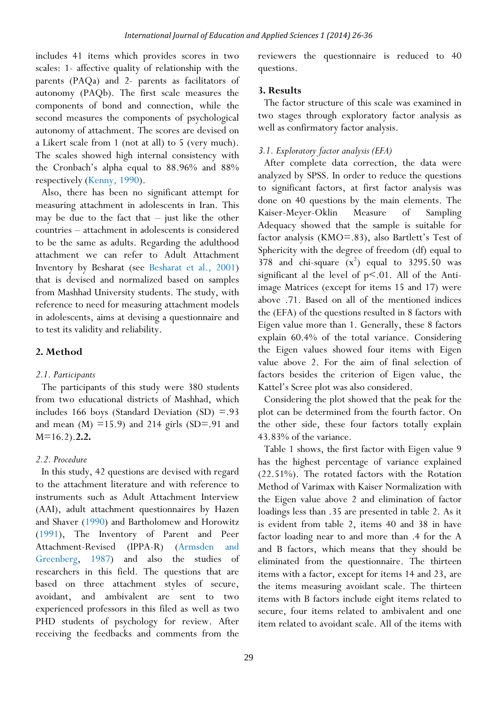includes 41 items which provides scores in two scales: 1- affective quality of relationship with the parents (PAQa) and 2- parents as facilitators of autonomy (PAQb). The first scale measures the components of bond and connection, while the second measures the components of psychological autonomy of attachment. The scores are devised on a Likert scale from 1 (not at all) to 5 (very much). The scales showed high internal consistency with the Cronbach's alpha equal to 88.96% and 88% respectively (Kenny, 1990).

Also, there has been no significant attempt for measuring attachment in adolescents in Iran. This may be due to the fact that – just like the other countries – attachment in adolescents is considered to be the same as adults. Regarding the adulthood attachment we can refer to Adult Attachment Inventory by Besharat (see Besharat et al., 2001) that is devised and normalized based on samples from Mashhad University students. The study, with reference to need for measuring attachment models in adolescents, aims at devising a questionnaire and to test its validity and reliability.

# **2. Method**

#### *2.1. Participants*

The participants of this study were 380 students from two educational districts of Mashhad, which includes 166 boys (Standard Deviation  $(SD) = .93$ and mean  $(M)$  =15.9) and 214 girls (SD=.91 and M=16.2).**2.2.** 

#### *2.2. Procedure*

In this study, 42 questions are devised with regard to the attachment literature and with reference to instruments such as Adult Attachment Interview (AAI), adult attachment questionnaires by Hazen and Shaver (1990) and Bartholomew and Horowitz (1991), The Inventory of Parent and Peer Attachment-Revised (IPPA-R) (Armsden and Greenberg, 1987) and also the studies of researchers in this field. The questions that are based on three attachment styles of secure, avoidant, and ambivalent are sent to two experienced professors in this filed as well as two PHD students of psychology for review. After receiving the feedbacks and comments from the reviewers the questionnaire is reduced to 40 questions.

#### **3. Results**

The factor structure of this scale was examined in two stages through exploratory factor analysis as well as confirmatory factor analysis.

# *3.1. Exploratory factor analysis (EFA)*

After complete data correction, the data were analyzed by SPSS. In order to reduce the questions to significant factors, at first factor analysis was done on 40 questions by the main elements. The Kaiser-Meyer-Oklin Measure of Sampling Adequacy showed that the sample is suitable for factor analysis (KMO=.83), also Bartlett's Test of Sphericity with the degree of freedom (df) equal to 378 and chi-square  $(x^2)$  equal to 3295.50 was significant al the level of  $p<.01$ . All of the Antiimage Matrices (except for items 15 and 17) were above .71. Based on all of the mentioned indices the (EFA) of the questions resulted in 8 factors with Eigen value more than 1. Generally, these 8 factors explain 60.4% of the total variance. Considering the Eigen values showed four items with Eigen value above 2. For the aim of final selection of factors besides the criterion of Eigen value, the Kattel's Scree plot was also considered.

Considering the plot showed that the peak for the plot can be determined from the fourth factor. On the other side, these four factors totally explain 43.83% of the variance.

Table 1 shows, the first factor with Eigen value 9 has the highest percentage of variance explained (22.51%). The rotated factors with the Rotation Method of Varimax with Kaiser Normalization with the Eigen value above 2 and elimination of factor loadings less than .35 are presented in table 2. As it is evident from table 2, items 40 and 38 in have factor loading near to and more than .4 for the A and B factors, which means that they should be eliminated from the questionnaire. The thirteen items with a factor, except for items 14 and 23, are the items measuring avoidant scale. The thirteen items with B factors include eight items related to secure, four items related to ambivalent and one item related to avoidant scale. All of the items with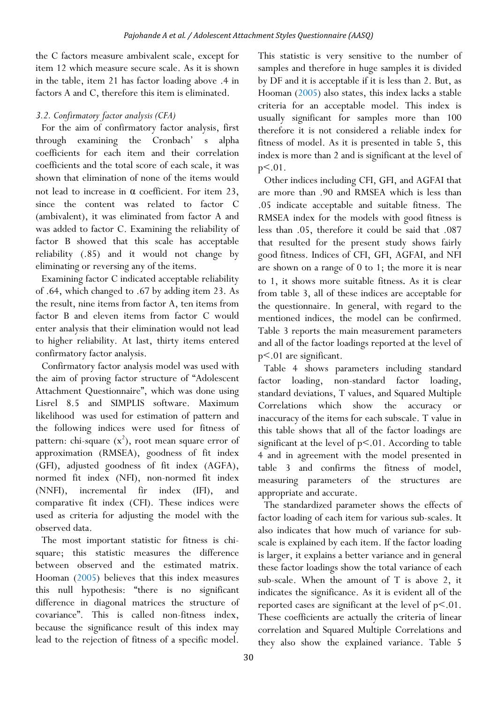the C factors measure ambivalent scale, except for item 12 which measure secure scale. As it is shown in the table, item 21 has factor loading above .4 in factors A and C, therefore this item is eliminated.

# *3.2. Confirmatory factor analysis (CFA)*

For the aim of confirmatory factor analysis, first through examining the Cronbach' s alpha coefficients for each item and their correlation coefficients and the total score of each scale, it was shown that elimination of none of the items would not lead to increase in α coefficient. For item 23, since the content was related to factor C (ambivalent), it was eliminated from factor A and was added to factor C. Examining the reliability of factor B showed that this scale has acceptable reliability (.85) and it would not change by eliminating or reversing any of the items.

Examining factor C indicated acceptable reliability of .64, which changed to .67 by adding item 23. As the result, nine items from factor A, ten items from factor B and eleven items from factor C would enter analysis that their elimination would not lead to higher reliability. At last, thirty items entered confirmatory factor analysis.

Confirmatory factor analysis model was used with the aim of proving factor structure of "Adolescent Attachment Questionnaire", which was done using Lisrel 8.5 and SIMPLIS software. Maximum likelihood was used for estimation of pattern and the following indices were used for fitness of pattern: chi-square  $(x^2)$ , root mean square error of approximation (RMSEA), goodness of fit index (GFI), adjusted goodness of fit index (AGFA), normed fit index (NFI), non-normed fit index  $(NNFI)$ , incremental fir index  $(IFI)$ , comparative fit index (CFI). These indices were used as criteria for adjusting the model with the observed data.

The most important statistic for fitness is chisquare; this statistic measures the difference between observed and the estimated matrix. Hooman (2005) believes that this index measures this null hypothesis: "there is no significant difference in diagonal matrices the structure of covariance". This is called non-fitness index, because the significance result of this index may lead to the rejection of fitness of a specific model.

This statistic is very sensitive to the number of samples and therefore in huge samples it is divided by DF and it is acceptable if it is less than 2. But, as Hooman (2005) also states, this index lacks a stable criteria for an acceptable model. This index is usually significant for samples more than 100 therefore it is not considered a reliable index for fitness of model. As it is presented in table 5, this index is more than 2 and is significant at the level of p<.01.

Other indices including CFI, GFI, and AGFAI that are more than .90 and RMSEA which is less than .05 indicate acceptable and suitable fitness. The RMSEA index for the models with good fitness is less than .05, therefore it could be said that .087 that resulted for the present study shows fairly good fitness. Indices of CFI, GFI, AGFAI, and NFI are shown on a range of 0 to 1; the more it is near to 1, it shows more suitable fitness. As it is clear from table 3, all of these indices are acceptable for the questionnaire. In general, with regard to the mentioned indices, the model can be confirmed. Table 3 reports the main measurement parameters and all of the factor loadings reported at the level of p<.01 are significant.

Table 4 shows parameters including standard factor loading, non-standard factor loading, standard deviations, T values, and Squared Multiple Correlations which show the accuracy or inaccuracy of the items for each subscale. T value in this table shows that all of the factor loadings are significant at the level of  $p<0.01$ . According to table 4 and in agreement with the model presented in table 3 and confirms the fitness of model, measuring parameters of the structures are appropriate and accurate.

The standardized parameter shows the effects of factor loading of each item for various sub-scales. It also indicates that how much of variance for subscale is explained by each item. If the factor loading is larger, it explains a better variance and in general these factor loadings show the total variance of each sub-scale. When the amount of T is above 2, it indicates the significance. As it is evident all of the reported cases are significant at the level of  $p<0.01$ . These coefficients are actually the criteria of linear correlation and Squared Multiple Correlations and they also show the explained variance. Table 5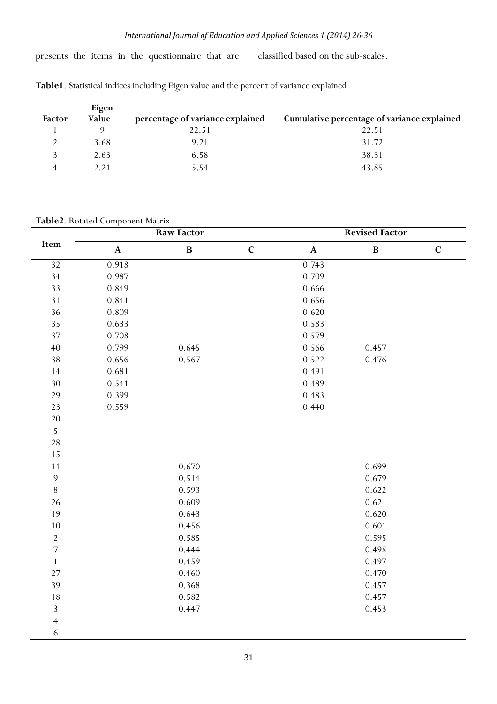presents the items in the questionnaire that are classified based on the sub-scales.

|        | Eigen |                                  |                                             |
|--------|-------|----------------------------------|---------------------------------------------|
| Factor | Value | percentage of variance explained | Cumulative percentage of variance explained |
|        |       | 22.51                            | 22.51                                       |
|        | 3.68  | 9.21                             | 31.72                                       |
|        | 2.63  | 6.58                             | 38.31                                       |
|        | 2.21  | 5.54                             | 43.85                                       |

**Table1**. Statistical indices including Eigen value and the percent of variance explained

**Table2**. Rotated Component Matrix

|                 |             | <b>Raw Factor</b> |             | <b>Revised Factor</b> |              |             |  |
|-----------------|-------------|-------------------|-------------|-----------------------|--------------|-------------|--|
| Item            | $\mathbf A$ | $\, {\bf B}$      | $\mathbf C$ | $\mathbf A$           | $\, {\bf B}$ | $\mathbf C$ |  |
| $\overline{32}$ | 0.918       |                   |             | 0.743                 |              |             |  |
| 34              | 0.987       |                   |             | 0.709                 |              |             |  |
| 33              | 0.849       |                   |             | 0.666                 |              |             |  |
| 31              | 0.841       |                   |             | 0.656                 |              |             |  |
| 36              | 0.809       |                   |             | 0.620                 |              |             |  |
| 35              | 0.633       |                   |             | 0.583                 |              |             |  |
| 37              | 0.708       |                   |             | 0.579                 |              |             |  |
| $40$            | 0.799       | 0.645             |             | 0.566                 | 0.457        |             |  |
| 38              | 0.656       | 0.567             |             | 0.522                 | 0.476        |             |  |
| 14              | 0.681       |                   |             | 0.491                 |              |             |  |
| 30              | 0.541       |                   |             | 0.489                 |              |             |  |
| 29              | 0.399       |                   |             | 0.483                 |              |             |  |
| 23              | 0.559       |                   |             | 0.440                 |              |             |  |
| 20              |             |                   |             |                       |              |             |  |
| $\overline{5}$  |             |                   |             |                       |              |             |  |
| $28\,$          |             |                   |             |                       |              |             |  |
| 15              |             |                   |             |                       |              |             |  |
| 11              |             | 0.670             |             |                       | 0.699        |             |  |
| $\mathfrak{g}$  |             | 0.514             |             |                       | 0.679        |             |  |
| $8\,$           |             | 0.593             |             |                       | 0.622        |             |  |
| 26              |             | 0.609             |             |                       | 0.621        |             |  |
| 19              |             | 0.643             |             |                       | 0.620        |             |  |
| 10              |             | 0.456             |             |                       | 0.601        |             |  |
| $\overline{2}$  |             | 0.585             |             |                       | 0.595        |             |  |
| $\sqrt{ }$      |             | 0.444             |             |                       | 0.498        |             |  |
| $\mathbf{1}$    |             | 0.459             |             |                       | 0.497        |             |  |
| 27              |             | 0.460             |             |                       | 0.470        |             |  |
| 39              |             | 0.368             |             |                       | 0.457        |             |  |
| 18              |             | 0.582             |             |                       | 0.457        |             |  |
| $\sqrt{3}$      |             | 0.447             |             |                       | 0.453        |             |  |
| $\overline{4}$  |             |                   |             |                       |              |             |  |
| $\sqrt{6}$      |             |                   |             |                       |              |             |  |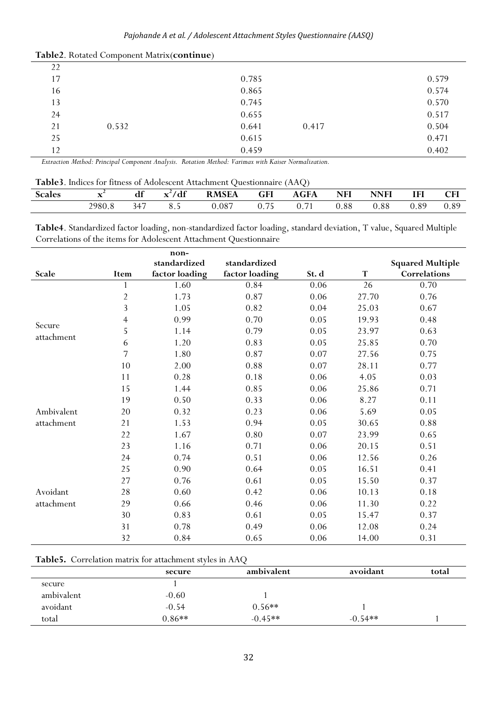|    | . .   |       |       |       |
|----|-------|-------|-------|-------|
| 22 |       |       |       |       |
| 17 |       | 0.785 |       | 0.579 |
| 16 |       | 0.865 |       | 0.574 |
| 13 |       | 0.745 |       | 0.570 |
| 24 |       | 0.655 |       | 0.517 |
| 21 | 0.532 | 0.641 | 0.417 | 0.504 |
| 25 |       | 0.615 |       | 0.471 |
| 12 |       | 0.459 |       | 0.402 |

*Extraction Method: Principal Component Analysis. Rotation Method: Varimax with Kaiser Normalization.* 

#### **Table3**. Indices for fitness of Adolescent Attachment Questionnaire (AAQ)

| $\sim$<br>Scales | . .    | $\mathbf{r}$<br>dt | $\mathbf{d}$ f<br>$-$ | <b>RMSEA</b> | GFI            | <b>AGFA</b>                       | <b>NFI</b> | NNFI | <b>IFI</b>        | CFI  |
|------------------|--------|--------------------|-----------------------|--------------|----------------|-----------------------------------|------------|------|-------------------|------|
|                  | 2980.8 | $-4-$              | ∪.J                   | 0.087        | $ -$<br>v. 1 J | $\overline{\phantom{a}}$<br>v. 11 | 0.88       | 0.88 | $\circ$ C<br>v.o. | 0.89 |

**Table4**. Standardized factor loading, non-standardized factor loading, standard deviation, T value, Squared Multiple Correlations of the items for Adolescent Attachment Questionnaire

|            |                | non-           |                |       |       |                         |
|------------|----------------|----------------|----------------|-------|-------|-------------------------|
|            |                | standardized   | standardized   |       |       | <b>Squared Multiple</b> |
| Scale      | Item           | factor loading | factor loading | St. d | T     | Correlations            |
|            | 1              | 1.60           | 0.84           | 0.06  | 26    | 0.70                    |
|            | $\overline{2}$ | 1.73           | 0.87           | 0.06  | 27.70 | 0.76                    |
|            | $\overline{3}$ | 1.05           | 0.82           | 0.04  | 25.03 | 0.67                    |
|            | $\overline{4}$ | 0.99           | 0.70           | 0.05  | 19.93 | 0.48                    |
| Secure     | 5              | 1.14           | 0.79           | 0.05  | 23.97 | 0.63                    |
| attachment | 6              | 1.20           | 0.83           | 0.05  | 25.85 | 0.70                    |
|            | 7              | 1.80           | 0.87           | 0.07  | 27.56 | 0.75                    |
|            | 10             | 2.00           | 0.88           | 0.07  | 28.11 | 0.77                    |
|            | 11             | 0.28           | 0.18           | 0.06  | 4.05  | 0.03                    |
|            | 15             | 1.44           | 0.85           | 0.06  | 25.86 | 0.71                    |
|            | 19             | 0.50           | 0.33           | 0.06  | 8.27  | 0.11                    |
| Ambivalent | 20             | 0.32           | 0.23           | 0.06  | 5.69  | 0.05                    |
| attachment | 21             | 1.53           | 0.94           | 0.05  | 30.65 | 0.88                    |
|            | 22             | 1.67           | 0.80           | 0.07  | 23.99 | 0.65                    |
|            | 23             | 1.16           | 0.71           | 0.06  | 20.15 | 0.51                    |
|            | 24             | 0.74           | 0.51           | 0.06  | 12.56 | 0.26                    |
|            | 25             | 0.90           | 0.64           | 0.05  | 16.51 | 0.41                    |
|            | 27             | 0.76           | 0.61           | 0.05  | 15.50 | 0.37                    |
| Avoidant   | 28             | 0.60           | 0.42           | 0.06  | 10.13 | 0.18                    |
| attachment | 29             | 0.66           | 0.46           | 0.06  | 11.30 | 0.22                    |
|            | 30             | 0.83           | 0.61           | 0.05  | 15.47 | 0.37                    |
|            | 31             | 0.78           | 0.49           | 0.06  | 12.08 | 0.24                    |
|            | 32             | 0.84           | 0.65           | 0.06  | 14.00 | 0.31                    |

#### **Table5.** Correlation matrix for attachment styles in AAQ

|            | secure   | ambivalent | avoidant  | total |
|------------|----------|------------|-----------|-------|
| secure     |          |            |           |       |
| ambivalent | $-0.60$  |            |           |       |
| avoidant   | $-0.54$  | $0.56**$   |           |       |
| total      | $0.86**$ | $-0.45**$  | $-0.54**$ |       |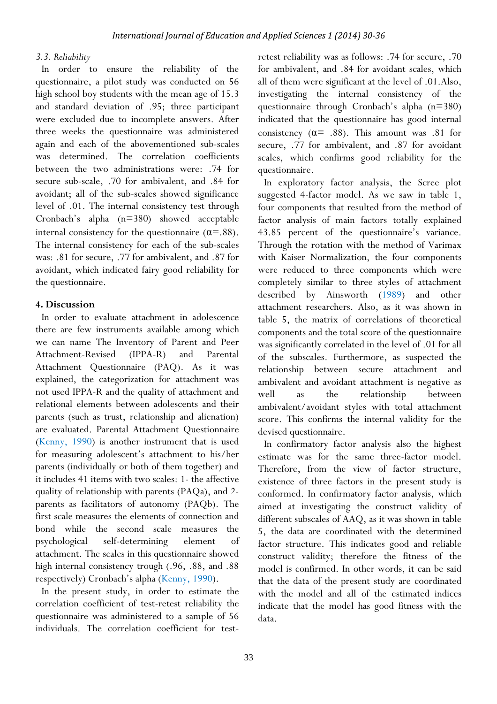#### *3.3. Reliability*

In order to ensure the reliability of the questionnaire, a pilot study was conducted on 56 high school boy students with the mean age of 15.3 and standard deviation of .95; three participant were excluded due to incomplete answers. After three weeks the questionnaire was administered again and each of the abovementioned sub-scales was determined. The correlation coefficients between the two administrations were: .74 for secure sub-scale, .70 for ambivalent, and .84 for avoidant; all of the sub-scales showed significance level of .01. The internal consistency test through Cronbach's alpha (n=380) showed acceptable internal consistency for the questionnaire  $(\alpha = .88)$ . The internal consistency for each of the sub-scales was: .81 for secure, .77 for ambivalent, and .87 for avoidant, which indicated fairy good reliability for the questionnaire.

# **4. Discussion**

In order to evaluate attachment in adolescence there are few instruments available among which we can name The Inventory of Parent and Peer Attachment-Revised (IPPA-R) and Parental Attachment Questionnaire (PAQ). As it was explained, the categorization for attachment was not used IPPA-R and the quality of attachment and relational elements between adolescents and their parents (such as trust, relationship and alienation) are evaluated. Parental Attachment Questionnaire (Kenny, 1990) is another instrument that is used for measuring adolescent's attachment to his/her parents (individually or both of them together) and it includes 41 items with two scales: 1- the affective quality of relationship with parents (PAQa), and 2 parents as facilitators of autonomy (PAQb). The first scale measures the elements of connection and bond while the second scale measures the psychological self-determining element of attachment. The scales in this questionnaire showed high internal consistency trough (.96, .88, and .88 respectively) Cronbach's alpha (Kenny, 1990).

In the present study, in order to estimate the correlation coefficient of test-retest reliability the questionnaire was administered to a sample of 56 individuals. The correlation coefficient for testretest reliability was as follows: .74 for secure, .70 for ambivalent, and .84 for avoidant scales, which all of them were significant at the level of .01.Also, investigating the internal consistency of the questionnaire through Cronbach's alpha (n=380) indicated that the questionnaire has good internal consistency  $(\alpha = .88)$ . This amount was .81 for secure, .77 for ambivalent, and .87 for avoidant scales, which confirms good reliability for the questionnaire.

In exploratory factor analysis, the Scree plot suggested 4-factor model. As we saw in table 1, four components that resulted from the method of factor analysis of main factors totally explained 43.85 percent of the questionnaire's variance. Through the rotation with the method of Varimax with Kaiser Normalization, the four components were reduced to three components which were completely similar to three styles of attachment described by Ainsworth (1989) and other attachment researchers. Also, as it was shown in table 5, the matrix of correlations of theoretical components and the total score of the questionnaire was significantly correlated in the level of .01 for all of the subscales. Furthermore, as suspected the relationship between secure attachment and ambivalent and avoidant attachment is negative as well as the relationship between ambivalent/avoidant styles with total attachment score. This confirms the internal validity for the devised questionnaire.

In confirmatory factor analysis also the highest estimate was for the same three-factor model. Therefore, from the view of factor structure, existence of three factors in the present study is conformed. In confirmatory factor analysis, which aimed at investigating the construct validity of different subscales of AAQ, as it was shown in table 5, the data are coordinated with the determined factor structure. This indicates good and reliable construct validity; therefore the fitness of the model is confirmed. In other words, it can be said that the data of the present study are coordinated with the model and all of the estimated indices indicate that the model has good fitness with the data.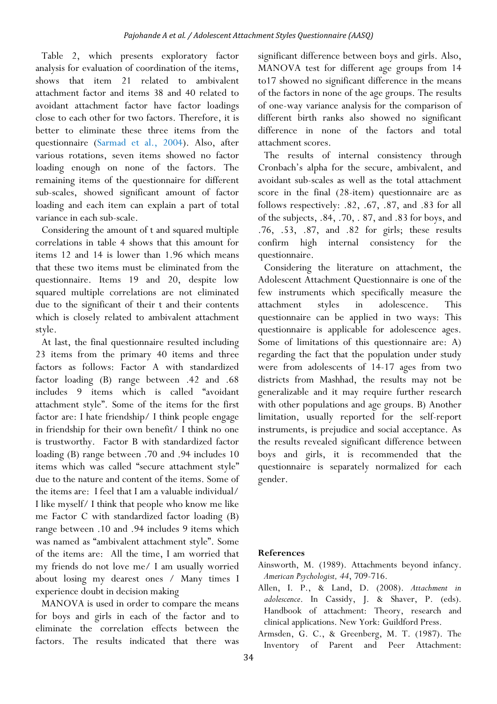Table 2, which presents exploratory factor analysis for evaluation of coordination of the items, shows that item 21 related to ambivalent attachment factor and items 38 and 40 related to avoidant attachment factor have factor loadings close to each other for two factors. Therefore, it is better to eliminate these three items from the questionnaire (Sarmad et al., 2004). Also, after various rotations, seven items showed no factor loading enough on none of the factors. The remaining items of the questionnaire for different sub-scales, showed significant amount of factor loading and each item can explain a part of total variance in each sub-scale.

Considering the amount of t and squared multiple correlations in table 4 shows that this amount for items 12 and 14 is lower than 1.96 which means that these two items must be eliminated from the questionnaire. Items 19 and 20, despite low squared multiple correlations are not eliminated due to the significant of their t and their contents which is closely related to ambivalent attachment style.

At last, the final questionnaire resulted including 23 items from the primary 40 items and three factors as follows: Factor A with standardized factor loading (B) range between .42 and .68 includes 9 items which is called "avoidant attachment style". Some of the items for the first factor are: I hate friendship/ I think people engage in friendship for their own benefit/ I think no one is trustworthy. Factor B with standardized factor loading (B) range between .70 and .94 includes 10 items which was called "secure attachment style" due to the nature and content of the items. Some of the items are: I feel that I am a valuable individual/ I like myself/ I think that people who know me like me Factor C with standardized factor loading (B) range between .10 and .94 includes 9 items which was named as "ambivalent attachment style". Some of the items are: All the time, I am worried that my friends do not love me/ I am usually worried about losing my dearest ones / Many times I experience doubt in decision making

MANOVA is used in order to compare the means for boys and girls in each of the factor and to eliminate the correlation effects between the factors. The results indicated that there was

significant difference between boys and girls. Also, MANOVA test for different age groups from 14 to17 showed no significant difference in the means of the factors in none of the age groups. The results of one-way variance analysis for the comparison of different birth ranks also showed no significant difference in none of the factors and total attachment scores.

The results of internal consistency through Cronbach's alpha for the secure, ambivalent, and avoidant sub-scales as well as the total attachment score in the final (28-item) questionnaire are as follows respectively: .82, .67, .87, and .83 for all of the subjects, .84, .70, . 87, and .83 for boys, and .76, .53, .87, and .82 for girls; these results confirm high internal consistency for the questionnaire.

Considering the literature on attachment, the Adolescent Attachment Questionnaire is one of the few instruments which specifically measure the attachment styles in adolescence. This questionnaire can be applied in two ways: This questionnaire is applicable for adolescence ages. Some of limitations of this questionnaire are: A) regarding the fact that the population under study were from adolescents of 14-17 ages from two districts from Mashhad, the results may not be generalizable and it may require further research with other populations and age groups. B) Another limitation, usually reported for the self-report instruments, is prejudice and social acceptance. As the results revealed significant difference between boys and girls, it is recommended that the questionnaire is separately normalized for each gender.

# **References**

Allen, I. P., & Land, D. (2008). *Attachment in adolescence*. In Cassidy, J. & Shaver, P. (eds). Handbook of attachment: Theory, research and clinical applications. New York: Guildford Press.

Armsden, G. C., & Greenberg, M. T. (1987). The Inventory of Parent and Peer Attachment:

Ainsworth, M. (1989). Attachments beyond infancy. *American Psychologist, 44*, 709-716.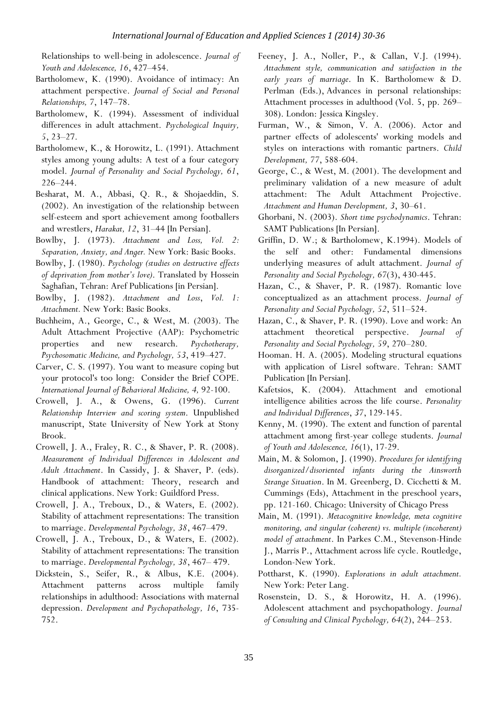Relationships to well-being in adolescence. *Journal of Youth and Adolescence, 16*, 427–454.

- Bartholomew, K. (1990). Avoidance of intimacy: An attachment perspective. *Journal of Social and Personal Relationships, 7*, 147–78.
- Bartholomew, K. (1994). Assessment of individual differences in adult attachment. *Psychological Inquiry, 5*, 23–27.
- Bartholomew, K., & Horowitz, L. (1991). Attachment styles among young adults: A test of a four category model. *Journal of Personality and Social Psychology, 61*, 226–244.
- Besharat, M. A., Abbasi, Q. R., & Shojaeddin, S. (2002). An investigation of the relationship between self-esteem and sport achievement among footballers and wrestlers, *Harakat, 12*, 31–44 [In Persian].
- Bowlby, J. (1973). *Attachment and Loss, Vol. 2: Separation, Anxiety, and Anger.* New York: Basic Books.
- Bowlby, J. (1980). *Psychology (studies on destructive effects of deprivation from mother's love)*. Translated by Hossein Saghafian, Tehran: Aref Publications [in Persian].
- Bowlby, J. (1982). *Attachment and Loss*, *Vol. 1: Attachment.* New York: Basic Books.
- Buchheim, A., George, C., & West, M. (2003). The Adult Attachment Projective (AAP): Psychometric properties and new research. *Psychotherapy, Psychosomatic Medicine, and Psychology, 53*, 419–427.
- Carver, C. S. (1997). You want to measure coping but your protocol's too long: Consider the Brief COPE. *International Journal of Behavioral Medicine, 4,* 92-100.
- Crowell, J. A., & Owens, G. (1996). *Current Relationship Interview and scoring system*. Unpublished manuscript, State University of New York at Stony Brook.
- Crowell, J. A., Fraley, R. C., & Shaver, P. R. (2008). *Measurement of Individual Differences in Adolescent and Adult Attachment*. In Cassidy, J. & Shaver, P. (eds). Handbook of attachment: Theory, research and clinical applications. New York: Guildford Press.
- Crowell, J. A., Treboux, D., & Waters, E. (2002). Stability of attachment representations: The transition to marriage. *Developmental Psychology, 38*, 467–479.
- Crowell, J. A., Treboux, D., & Waters, E. (2002). Stability of attachment representations: The transition to marriage. *Developmental Psychology, 38*, 467– 479.
- Dickstein, S., Seifer, R., & Albus, K.E. (2004). Attachment patterns across multiple family relationships in adulthood: Associations with maternal depression. *Development and Psychopathology, 16*, 735- 752.
- Feeney, J. A., Noller, P., & Callan, V.J. (1994). *Attachment style, communication and satisfaction in the early years of marriage*. In K. Bartholomew & D. Perlman (Eds.), Advances in personal relationships: Attachment processes in adulthood (Vol. 5, pp. 269– 308). London: Jessica Kingsley.
- Furman, W., & Simon, V. A. (2006). Actor and partner effects of adolescents' working models and styles on interactions with romantic partners. *Child Development, 77*, 588-604.
- George, C., & West, M. (2001). The development and preliminary validation of a new measure of adult attachment: The Adult Attachment Projective. *Attachment and Human Development, 3*, 30–61.
- Ghorbani, N. (2003). *Short time psychodynamics*. Tehran: SAMT Publications [In Persian].
- Griffin, D. W.; & Bartholomew, K.1994). Models of the self and other: Fundamental dimensions underlying measures of adult attachment. *Journal of Personality and Social Psychology, 67*(3), 430-445.
- Hazan, C., & Shaver, P. R. (1987). Romantic love conceptualized as an attachment process. *Journal of Personality and Social Psychology, 52*, 511–524.
- Hazan, C., & Shaver, P. R. (1990). Love and work: An attachment theoretical perspective. *Journal of Personality and Social Psychology, 59*, 270–280.
- Hooman. H. A. (2005). Modeling structural equations with application of Lisrel software. Tehran: SAMT Publication [In Persian].
- Kafetsios, K. (2004). Attachment and emotional intelligence abilities across the life course. *Personality and Individual Differences*, *37*, 129-145.
- Kenny, M. (1990). The extent and function of parental attachment among first-year college students. *Journal of Youth and Adolescence, 16*(1), 17-29.
- Main, M. & Solomon, J. (1990). *Procedures for identifying disorganized/disoriented infants during the Ainsworth Strange Situation*. In M. Greenberg, D. Cicchetti & M. Cummings (Eds), Attachment in the preschool years, pp. 121-160. Chicago: University of Chicago Press
- Main, M. (1991). *Metacognitive knowledge, meta cognitive monitoring, and singular (coherent) vs. multiple (incoherent) model of attachment*. In Parkes C.M., Stevenson-Hinde J., Marris P., Attachment across life cycle. Routledge, London-New York.
- Pottharst, K. (1990). *Explorations in adult attachment.*  New York: Peter Lang.
- Rosenstein, D. S., & Horowitz, H. A. (1996). Adolescent attachment and psychopathology. *Journal of Consulting and Clinical Psychology, 64*(2), 244–253.